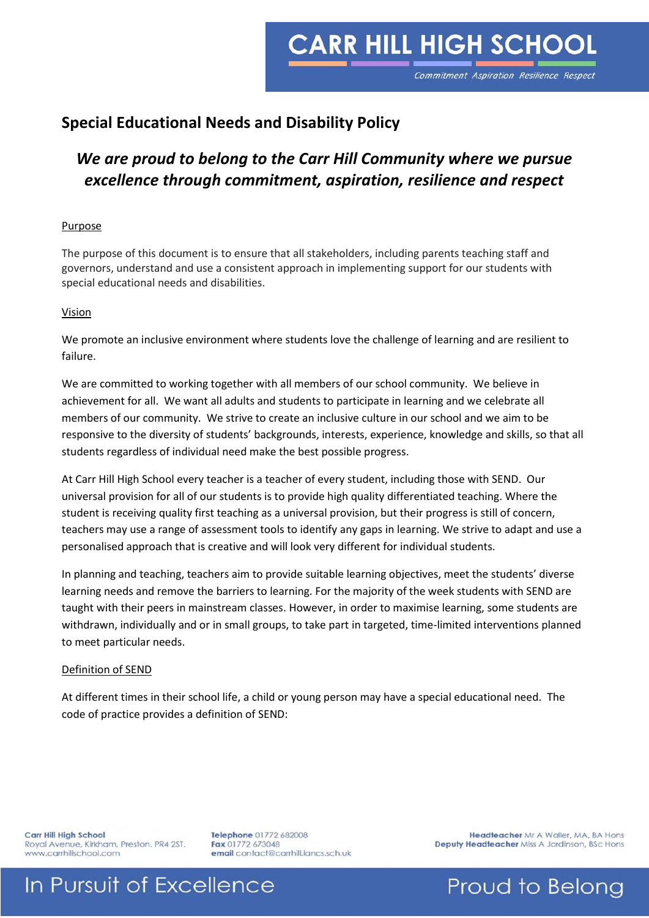## **CARR HILL HIGH SCHOOL**

Commitment Aspiration Resilience Respect

### **Special Educational Needs and Disability Policy**

### *We are proud to belong to the Carr Hill Community where we pursue excellence through commitment, aspiration, resilience and respect*

#### Purpose

The purpose of this document is to ensure that all stakeholders, including parents teaching staff and governors, understand and use a consistent approach in implementing support for our students with special educational needs and disabilities.

#### Vision

We promote an inclusive environment where students love the challenge of learning and are resilient to failure.

We are committed to working together with all members of our school community. We believe in achievement for all. We want all adults and students to participate in learning and we celebrate all members of our community. We strive to create an inclusive culture in our school and we aim to be responsive to the diversity of students' backgrounds, interests, experience, knowledge and skills, so that all students regardless of individual need make the best possible progress.

At Carr Hill High School every teacher is a teacher of every student, including those with SEND. Our universal provision for all of our students is to provide high quality differentiated teaching. Where the student is receiving quality first teaching as a universal provision, but their progress is still of concern, teachers may use a range of assessment tools to identify any gaps in learning. We strive to adapt and use a personalised approach that is creative and will look very different for individual students.

In planning and teaching, teachers aim to provide suitable learning objectives, meet the students' diverse learning needs and remove the barriers to learning. For the majority of the week students with SEND are taught with their peers in mainstream classes. However, in order to maximise learning, some students are withdrawn, individually and or in small groups, to take part in targeted, time-limited interventions planned to meet particular needs.

#### Definition of SEND

At different times in their school life, a child or young person may have a special educational need. The code of practice provides a definition of SEND:

Carr Hill High School Royal Avenue, Kirkham, Preston. PR4 2ST. www.carrhillschool.com

Telephone 01772 682008 Fax 01772 673048 email contact@carrhill.lancs.sch.uk

Headteacher Mr A Waller, MA, BA Hons Deputy Headteacher Miss A Jordinson, BSc Hons

### In Pursuit of Excellence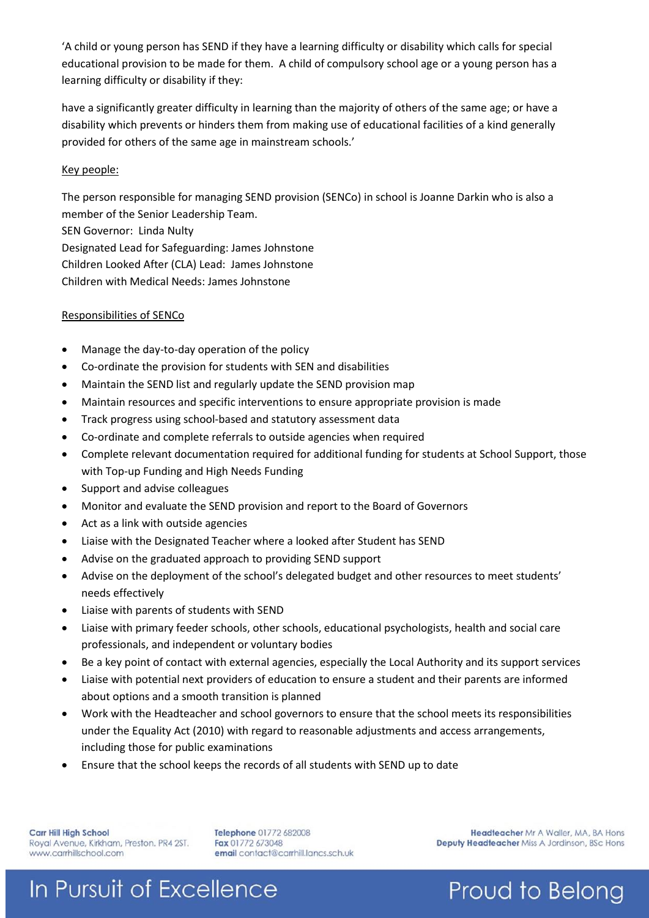'A child or young person has SEND if they have a learning difficulty or disability which calls for special educational provision to be made for them. A child of compulsory school age or a young person has a learning difficulty or disability if they:

have a significantly greater difficulty in learning than the majority of others of the same age; or have a disability which prevents or hinders them from making use of educational facilities of a kind generally provided for others of the same age in mainstream schools.'

#### Key people:

The person responsible for managing SEND provision (SENCo) in school is Joanne Darkin who is also a member of the Senior Leadership Team.

SEN Governor: Linda Nulty

Designated Lead for Safeguarding: James Johnstone

Children Looked After (CLA) Lead: James Johnstone

Children with Medical Needs: James Johnstone

#### Responsibilities of SENCo

- Manage the day-to-day operation of the policy
- Co-ordinate the provision for students with SEN and disabilities
- Maintain the SEND list and regularly update the SEND provision map
- Maintain resources and specific interventions to ensure appropriate provision is made
- Track progress using school-based and statutory assessment data
- Co-ordinate and complete referrals to outside agencies when required
- Complete relevant documentation required for additional funding for students at School Support, those with Top-up Funding and High Needs Funding
- Support and advise colleagues
- Monitor and evaluate the SEND provision and report to the Board of Governors
- Act as a link with outside agencies
- Liaise with the Designated Teacher where a looked after Student has SEND
- Advise on the graduated approach to providing SEND support
- Advise on the deployment of the school's delegated budget and other resources to meet students' needs effectively
- Liaise with parents of students with SEND
- Liaise with primary feeder schools, other schools, educational psychologists, health and social care professionals, and independent or voluntary bodies
- Be a key point of contact with external agencies, especially the Local Authority and its support services
- Liaise with potential next providers of education to ensure a student and their parents are informed about options and a smooth transition is planned
- Work with the Headteacher and school governors to ensure that the school meets its responsibilities under the Equality Act (2010) with regard to reasonable adjustments and access arrangements, including those for public examinations
- Ensure that the school keeps the records of all students with SEND up to date

**Carr Hill High School** Royal Avenue, Kirkham, Preston. PR4 2ST. www.carrhillschool.com

Telephone 01772 682008 Fax 01772 673048 email contact@carrhill.lancs.sch.uk

Headteacher Mr A Waller, MA, BA Hons Deputy Headteacher Miss A Jordinson, BSc Hons

Proud to Belong

# In Pursuit of Excellence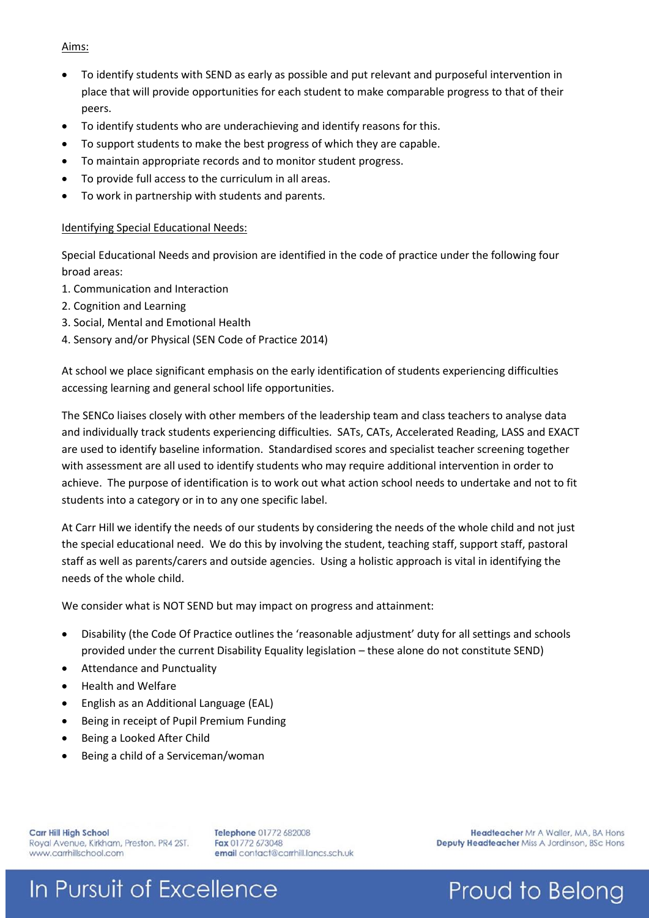#### Aims:

- To identify students with SEND as early as possible and put relevant and purposeful intervention in place that will provide opportunities for each student to make comparable progress to that of their peers.
- To identify students who are underachieving and identify reasons for this.
- To support students to make the best progress of which they are capable.
- To maintain appropriate records and to monitor student progress.
- To provide full access to the curriculum in all areas.
- To work in partnership with students and parents.

#### Identifying Special Educational Needs:

Special Educational Needs and provision are identified in the code of practice under the following four broad areas:

- 1. Communication and Interaction
- 2. Cognition and Learning
- 3. Social, Mental and Emotional Health
- 4. Sensory and/or Physical (SEN Code of Practice 2014)

At school we place significant emphasis on the early identification of students experiencing difficulties accessing learning and general school life opportunities.

The SENCo liaises closely with other members of the leadership team and class teachers to analyse data and individually track students experiencing difficulties. SATs, CATs, Accelerated Reading, LASS and EXACT are used to identify baseline information. Standardised scores and specialist teacher screening together with assessment are all used to identify students who may require additional intervention in order to achieve. The purpose of identification is to work out what action school needs to undertake and not to fit students into a category or in to any one specific label.

At Carr Hill we identify the needs of our students by considering the needs of the whole child and not just the special educational need. We do this by involving the student, teaching staff, support staff, pastoral staff as well as parents/carers and outside agencies. Using a holistic approach is vital in identifying the needs of the whole child.

We consider what is NOT SEND but may impact on progress and attainment:

- Disability (the Code Of Practice outlines the 'reasonable adjustment' duty for all settings and schools provided under the current Disability Equality legislation – these alone do not constitute SEND)
- Attendance and Punctuality
- Health and Welfare
- English as an Additional Language (EAL)
- Being in receipt of Pupil Premium Funding
- Being a Looked After Child
- Being a child of a Serviceman/woman

**Carr Hill High School** Royal Avenue, Kirkham, Preston. PR4 2ST. www.carrhillschool.com

Telephone 01772 682008 Fax 01772 673048 email contact@carrhill.lancs.sch.uk

Headteacher Mr A Waller, MA, BA Hons Deputy Headteacher Miss A Jordinson, BSc Hons

Proud to Belong

# In Pursuit of Excellence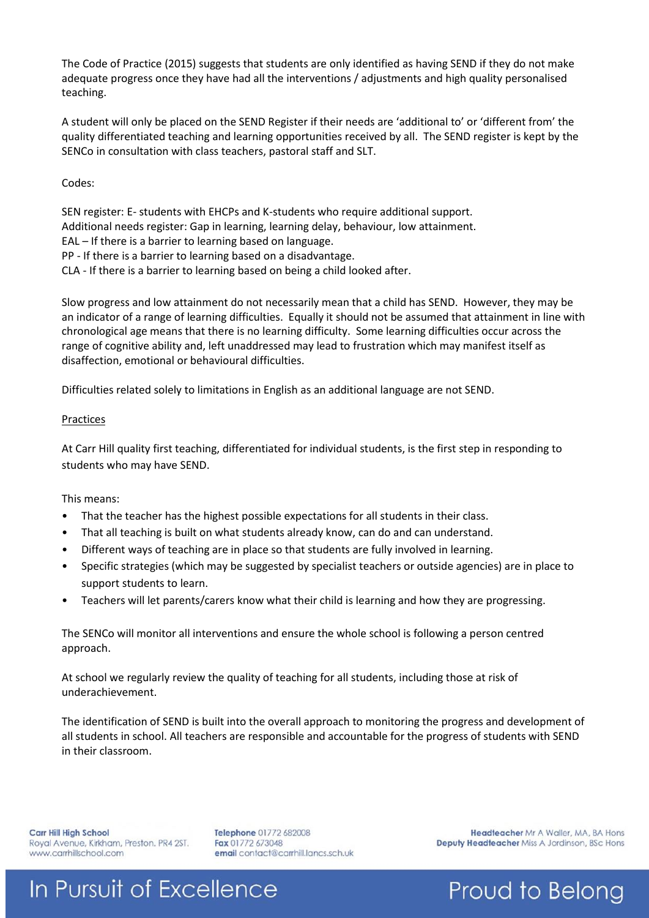The Code of Practice (2015) suggests that students are only identified as having SEND if they do not make adequate progress once they have had all the interventions / adjustments and high quality personalised teaching.

A student will only be placed on the SEND Register if their needs are 'additional to' or 'different from' the quality differentiated teaching and learning opportunities received by all. The SEND register is kept by the SENCo in consultation with class teachers, pastoral staff and SLT.

#### Codes:

SEN register: E- students with EHCPs and K-students who require additional support. Additional needs register: Gap in learning, learning delay, behaviour, low attainment. EAL – If there is a barrier to learning based on language. PP - If there is a barrier to learning based on a disadvantage. CLA - If there is a barrier to learning based on being a child looked after.

Slow progress and low attainment do not necessarily mean that a child has SEND. However, they may be an indicator of a range of learning difficulties. Equally it should not be assumed that attainment in line with chronological age means that there is no learning difficulty. Some learning difficulties occur across the range of cognitive ability and, left unaddressed may lead to frustration which may manifest itself as disaffection, emotional or behavioural difficulties.

Difficulties related solely to limitations in English as an additional language are not SEND.

#### **Practices**

At Carr Hill quality first teaching, differentiated for individual students, is the first step in responding to students who may have SEND.

#### This means:

- That the teacher has the highest possible expectations for all students in their class.
- That all teaching is built on what students already know, can do and can understand.
- Different ways of teaching are in place so that students are fully involved in learning.
- Specific strategies (which may be suggested by specialist teachers or outside agencies) are in place to support students to learn.
- Teachers will let parents/carers know what their child is learning and how they are progressing.

The SENCo will monitor all interventions and ensure the whole school is following a person centred approach.

At school we regularly review the quality of teaching for all students, including those at risk of underachievement.

The identification of SEND is built into the overall approach to monitoring the progress and development of all students in school. All teachers are responsible and accountable for the progress of students with SEND in their classroom.

**Carr Hill High School** Royal Avenue, Kirkham, Preston. PR4 2ST. www.carrhillschool.com

Telephone 01772 682008 Fax 01772 673048 email contact@carrhill.lancs.sch.uk

Headteacher Mr A Waller, MA, BA Hons Deputy Headteacher Miss A Jordinson, BSc Hons

# In Pursuit of Excellence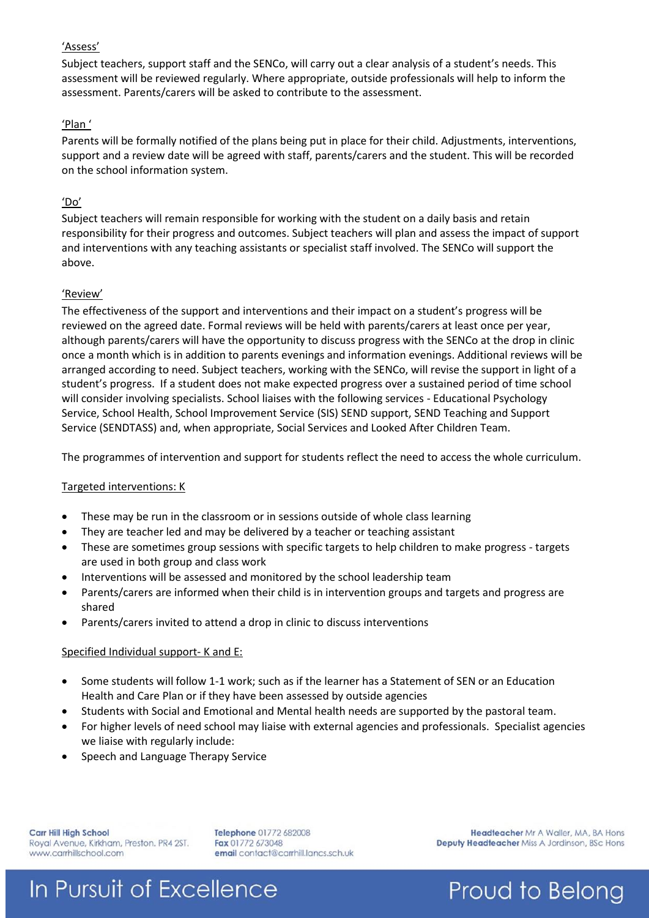#### 'Assess'

Subject teachers, support staff and the SENCo, will carry out a clear analysis of a student's needs. This assessment will be reviewed regularly. Where appropriate, outside professionals will help to inform the assessment. Parents/carers will be asked to contribute to the assessment.

#### 'Plan '

Parents will be formally notified of the plans being put in place for their child. Adjustments, interventions, support and a review date will be agreed with staff, parents/carers and the student. This will be recorded on the school information system.

#### 'Do'

Subject teachers will remain responsible for working with the student on a daily basis and retain responsibility for their progress and outcomes. Subject teachers will plan and assess the impact of support and interventions with any teaching assistants or specialist staff involved. The SENCo will support the above.

#### 'Review'

The effectiveness of the support and interventions and their impact on a student's progress will be reviewed on the agreed date. Formal reviews will be held with parents/carers at least once per year, although parents/carers will have the opportunity to discuss progress with the SENCo at the drop in clinic once a month which is in addition to parents evenings and information evenings. Additional reviews will be arranged according to need. Subject teachers, working with the SENCo, will revise the support in light of a student's progress. If a student does not make expected progress over a sustained period of time school will consider involving specialists. School liaises with the following services - Educational Psychology Service, School Health, School Improvement Service (SIS) SEND support, SEND Teaching and Support Service (SENDTASS) and, when appropriate, Social Services and Looked After Children Team.

The programmes of intervention and support for students reflect the need to access the whole curriculum.

#### Targeted interventions: K

- These may be run in the classroom or in sessions outside of whole class learning
- They are teacher led and may be delivered by a teacher or teaching assistant
- These are sometimes group sessions with specific targets to help children to make progress targets are used in both group and class work
- Interventions will be assessed and monitored by the school leadership team
- Parents/carers are informed when their child is in intervention groups and targets and progress are shared
- Parents/carers invited to attend a drop in clinic to discuss interventions

#### Specified Individual support- K and E:

- Some students will follow 1-1 work; such as if the learner has a Statement of SEN or an Education Health and Care Plan or if they have been assessed by outside agencies
- Students with Social and Emotional and Mental health needs are supported by the pastoral team.
- For higher levels of need school may liaise with external agencies and professionals. Specialist agencies we liaise with regularly include:
- Speech and Language Therapy Service

**Carr Hill High School** Royal Avenue, Kirkham, Preston. PR4 2ST. www.carrhillschool.com

Telephone 01772 682008 Fax 01772 673048 email contact@carrhill.lancs.sch.uk

Headteacher Mr A Waller, MA, BA Hons Deputy Headteacher Miss A Jordinson, BSc Hons

## In Pursuit of Excellence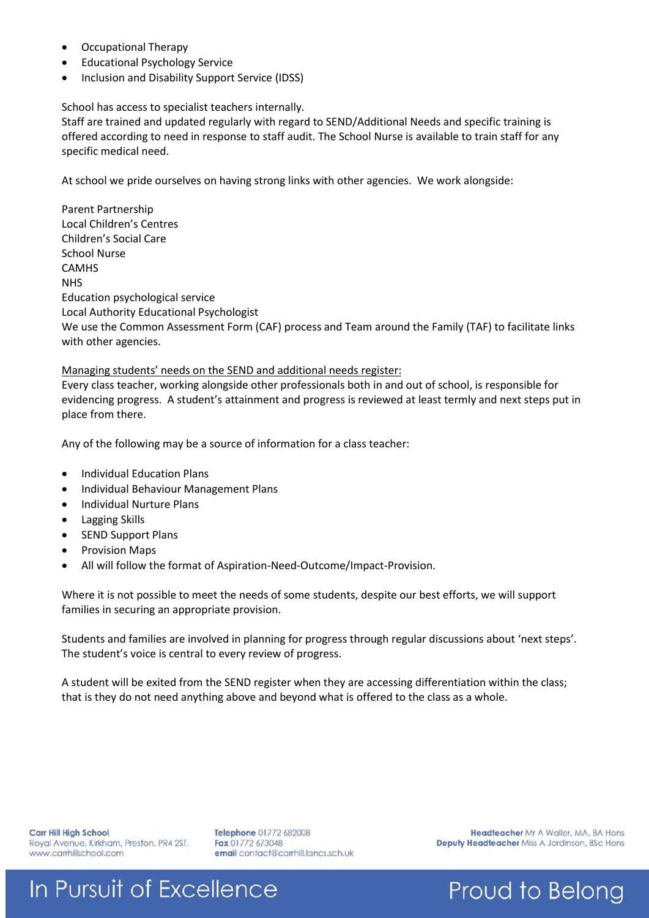- Occupational Therapy
- Educational Psychology Service
- Inclusion and Disability Support Service (IDSS)

#### School has access to specialist teachers internally.

Staff are trained and updated regularly with regard to SEND/Additional Needs and specific training is offered according to need in response to staff audit. The School Nurse is available to train staff for any specific medical need.

At school we pride ourselves on having strong links with other agencies. We work alongside:

Parent Partnership Local Children's Centres Children's Social Care School Nurse CAMHS **NHS** Education psychological service Local Authority Educational Psychologist We use the Common Assessment Form (CAF) process and Team around the Family (TAF) to facilitate links with other agencies.

#### Managing students' needs on the SEND and additional needs register:

Every class teacher, working alongside other professionals both in and out of school, is responsible for evidencing progress. A student's attainment and progress is reviewed at least termly and next steps put in place from there.

Any of the following may be a source of information for a class teacher:

- Individual Education Plans
- Individual Behaviour Management Plans
- Individual Nurture Plans
- **•** Lagging Skills
- SEND Support Plans
- Provision Maps
- All will follow the format of Aspiration-Need-Outcome/Impact-Provision.

Where it is not possible to meet the needs of some students, despite our best efforts, we will support families in securing an appropriate provision.

Students and families are involved in planning for progress through regular discussions about 'next steps'. The student's voice is central to every review of progress.

A student will be exited from the SEND register when they are accessing differentiation within the class; that is they do not need anything above and beyond what is offered to the class as a whole.

**Carr Hill High School** Royal Avenue, Kirkham, Preston. PR4 2ST. www.carrhillschool.com

Telephone 01772 682008 Fax 01772 673048 email contact@carrhill.lancs.sch.uk

Headteacher Mr A Waller, MA, BA Hons Deputy Headteacher Miss A Jordinson, BSc Hons

Proud to Belong

## In Pursuit of Excellence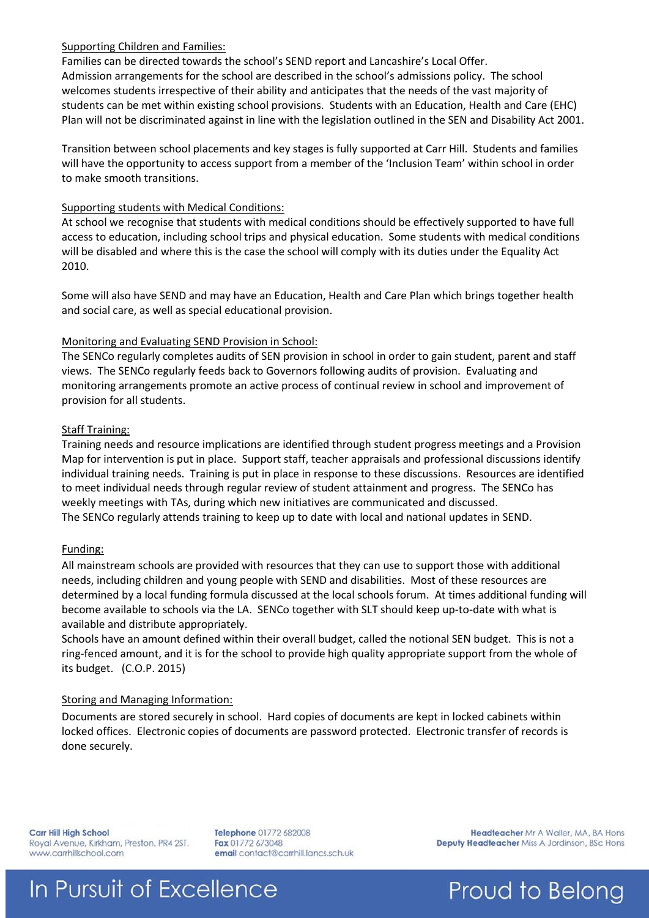#### Supporting Children and Families:

Families can be directed towards the school's SEND report and Lancashire's Local Offer. Admission arrangements for the school are described in the school's admissions policy. The school welcomes students irrespective of their ability and anticipates that the needs of the vast majority of students can be met within existing school provisions. Students with an Education, Health and Care (EHC) Plan will not be discriminated against in line with the legislation outlined in the SEN and Disability Act 2001.

Transition between school placements and key stages is fully supported at Carr Hill. Students and families will have the opportunity to access support from a member of the 'Inclusion Team' within school in order to make smooth transitions.

#### Supporting students with Medical Conditions:

At school we recognise that students with medical conditions should be effectively supported to have full access to education, including school trips and physical education. Some students with medical conditions will be disabled and where this is the case the school will comply with its duties under the Equality Act 2010.

Some will also have SEND and may have an Education, Health and Care Plan which brings together health and social care, as well as special educational provision.

#### Monitoring and Evaluating SEND Provision in School:

The SENCo regularly completes audits of SEN provision in school in order to gain student, parent and staff views. The SENCo regularly feeds back to Governors following audits of provision. Evaluating and monitoring arrangements promote an active process of continual review in school and improvement of provision for all students.

#### Staff Training:

Training needs and resource implications are identified through student progress meetings and a Provision Map for intervention is put in place. Support staff, teacher appraisals and professional discussions identify individual training needs. Training is put in place in response to these discussions. Resources are identified to meet individual needs through regular review of student attainment and progress. The SENCo has weekly meetings with TAs, during which new initiatives are communicated and discussed. The SENCo regularly attends training to keep up to date with local and national updates in SEND.

#### Funding:

All mainstream schools are provided with resources that they can use to support those with additional needs, including children and young people with SEND and disabilities. Most of these resources are determined by a local funding formula discussed at the local schools forum. At times additional funding will become available to schools via the LA. SENCo together with SLT should keep up-to-date with what is available and distribute appropriately.

Schools have an amount defined within their overall budget, called the notional SEN budget. This is not a ring-fenced amount, and it is for the school to provide high quality appropriate support from the whole of its budget. (C.O.P. 2015)

#### Storing and Managing Information:

Documents are stored securely in school. Hard copies of documents are kept in locked cabinets within locked offices. Electronic copies of documents are password protected. Electronic transfer of records is done securely.

**Carr Hill High School** Royal Avenue, Kirkham, Preston. PR4 2ST. www.carrhillschool.com

Telephone 01772 682008 Fax 01772 673048 email contact@carrhill.lancs.sch.uk

Headteacher Mr A Waller, MA, BA Hons Deputy Headteacher Miss A Jordinson, BSc Hons

## In Pursuit of Excellence